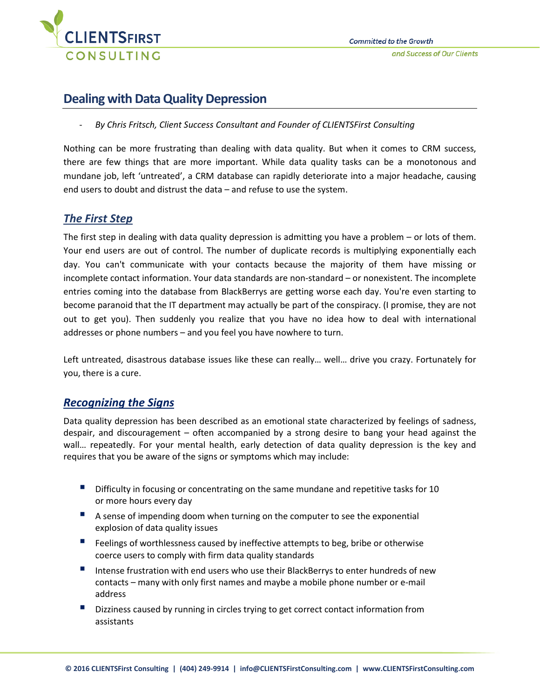

# **Dealing with Data Quality Depression**

- *By Chris Fritsch, Client Success Consultant and Founder of CLIENTSFirst Consulting*

Nothing can be more frustrating than dealing with data quality. But when it comes to CRM success, there are few things that are more important. While data quality tasks can be a monotonous and mundane job, left 'untreated', a CRM database can rapidly deteriorate into a major headache, causing end users to doubt and distrust the data – and refuse to use the system.

# *The First Step*

The first step in dealing with data quality depression is admitting you have a problem – or lots of them. Your end users are out of control. The number of duplicate records is multiplying exponentially each day. You can't communicate with your contacts because the majority of them have missing or incomplete contact information. Your data standards are non-standard – or nonexistent. The incomplete entries coming into the database from BlackBerrys are getting worse each day. You're even starting to become paranoid that the IT department may actually be part of the conspiracy. (I promise, they are not out to get you). Then suddenly you realize that you have no idea how to deal with international addresses or phone numbers – and you feel you have nowhere to turn.

Left untreated, disastrous database issues like these can really… well… drive you crazy. Fortunately for you, there is a cure.

# *Recognizing the Signs*

Data quality depression has been described as an emotional state characterized by feelings of sadness, despair, and discouragement – often accompanied by a strong desire to bang your head against the wall… repeatedly. For your mental health, early detection of data quality depression is the key and requires that you be aware of the signs or symptoms which may include:

- **Difficulty in focusing or concentrating on the same mundane and repetitive tasks for 10** or more hours every day
- A sense of impending doom when turning on the computer to see the exponential explosion of data quality issues
- **Feelings of worthlessness caused by ineffective attempts to beg, bribe or otherwise** coerce users to comply with firm data quality standards
- Intense frustration with end users who use their BlackBerrys to enter hundreds of new contacts – many with only first names and maybe a mobile phone number or e-mail address
- Dizziness caused by running in circles trying to get correct contact information from assistants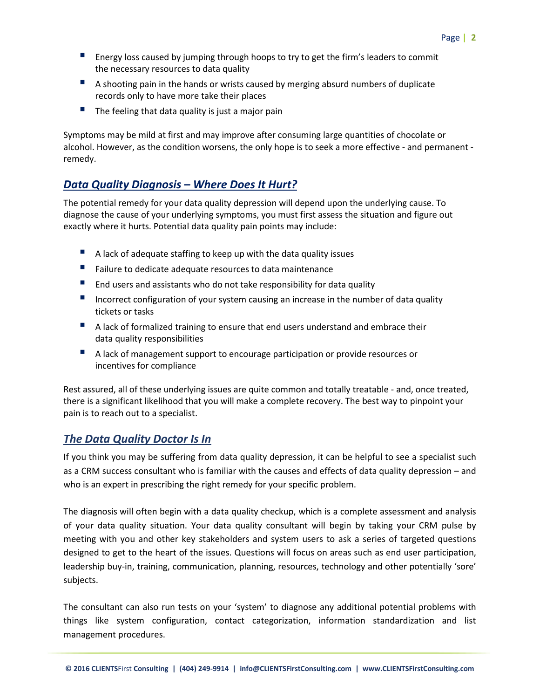- **E** Energy loss caused by jumping through hoops to try to get the firm's leaders to commit the necessary resources to data quality
- A shooting pain in the hands or wrists caused by merging absurd numbers of duplicate records only to have more take their places
- $\blacksquare$  The feeling that data quality is just a major pain

Symptoms may be mild at first and may improve after consuming large quantities of chocolate or alcohol. However, as the condition worsens, the only hope is to seek a more effective - and permanent remedy.

# *Data Quality Diagnosis – Where Does It Hurt?*

The potential remedy for your data quality depression will depend upon the underlying cause. To diagnose the cause of your underlying symptoms, you must first assess the situation and figure out exactly where it hurts. Potential data quality pain points may include:

- A lack of adequate staffing to keep up with the data quality issues
- **Failure to dedicate adequate resources to data maintenance**
- $\blacksquare$  End users and assistants who do not take responsibility for data quality
- Incorrect configuration of your system causing an increase in the number of data quality tickets or tasks
- A lack of formalized training to ensure that end users understand and embrace their data quality responsibilities
- A lack of management support to encourage participation or provide resources or incentives for compliance

Rest assured, all of these underlying issues are quite common and totally treatable - and, once treated, there is a significant likelihood that you will make a complete recovery. The best way to pinpoint your pain is to reach out to a specialist.

# *The Data Quality Doctor Is In*

If you think you may be suffering from data quality depression, it can be helpful to see a specialist such as a CRM success consultant who is familiar with the causes and effects of data quality depression – and who is an expert in prescribing the right remedy for your specific problem.

The diagnosis will often begin with a data quality checkup, which is a complete assessment and analysis of your data quality situation. Your data quality consultant will begin by taking your CRM pulse by meeting with you and other key stakeholders and system users to ask a series of targeted questions designed to get to the heart of the issues. Questions will focus on areas such as end user participation, leadership buy-in, training, communication, planning, resources, technology and other potentially 'sore' subjects.

The consultant can also run tests on your 'system' to diagnose any additional potential problems with things like system configuration, contact categorization, information standardization and list management procedures.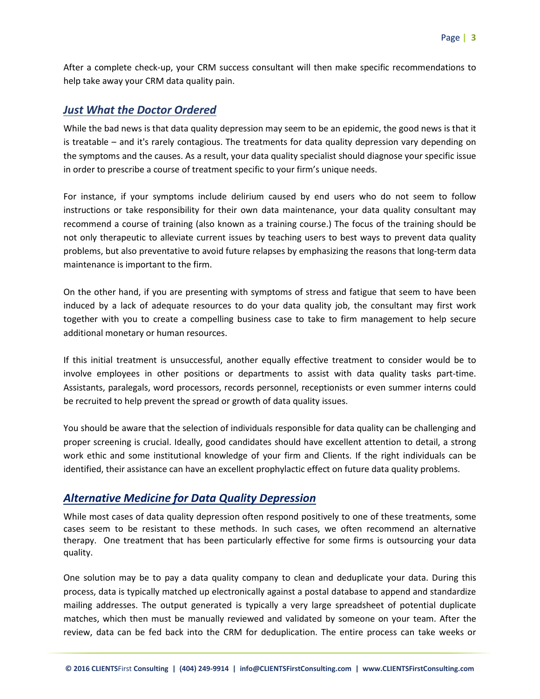After a complete check-up, your CRM success consultant will then make specific recommendations to help take away your CRM data quality pain.

#### *Just What the Doctor Ordered*

While the bad news is that data quality depression may seem to be an epidemic, the good news is that it is treatable – and it's rarely contagious. The treatments for data quality depression vary depending on the symptoms and the causes. As a result, your data quality specialist should diagnose your specific issue in order to prescribe a course of treatment specific to your firm's unique needs.

For instance, if your symptoms include delirium caused by end users who do not seem to follow instructions or take responsibility for their own data maintenance, your data quality consultant may recommend a course of training (also known as a training course.) The focus of the training should be not only therapeutic to alleviate current issues by teaching users to best ways to prevent data quality problems, but also preventative to avoid future relapses by emphasizing the reasons that long-term data maintenance is important to the firm.

On the other hand, if you are presenting with symptoms of stress and fatigue that seem to have been induced by a lack of adequate resources to do your data quality job, the consultant may first work together with you to create a compelling business case to take to firm management to help secure additional monetary or human resources.

If this initial treatment is unsuccessful, another equally effective treatment to consider would be to involve employees in other positions or departments to assist with data quality tasks part-time. Assistants, paralegals, word processors, records personnel, receptionists or even summer interns could be recruited to help prevent the spread or growth of data quality issues.

You should be aware that the selection of individuals responsible for data quality can be challenging and proper screening is crucial. Ideally, good candidates should have excellent attention to detail, a strong work ethic and some institutional knowledge of your firm and Clients. If the right individuals can be identified, their assistance can have an excellent prophylactic effect on future data quality problems.

# *Alternative Medicine for Data Quality Depression*

While most cases of data quality depression often respond positively to one of these treatments, some cases seem to be resistant to these methods. In such cases, we often recommend an alternative therapy. One treatment that has been particularly effective for some firms is outsourcing your data quality.

One solution may be to pay a data quality company to clean and deduplicate your data. During this process, data is typically matched up electronically against a postal database to append and standardize mailing addresses. The output generated is typically a very large spreadsheet of potential duplicate matches, which then must be manually reviewed and validated by someone on your team. After the review, data can be fed back into the CRM for deduplication. The entire process can take weeks or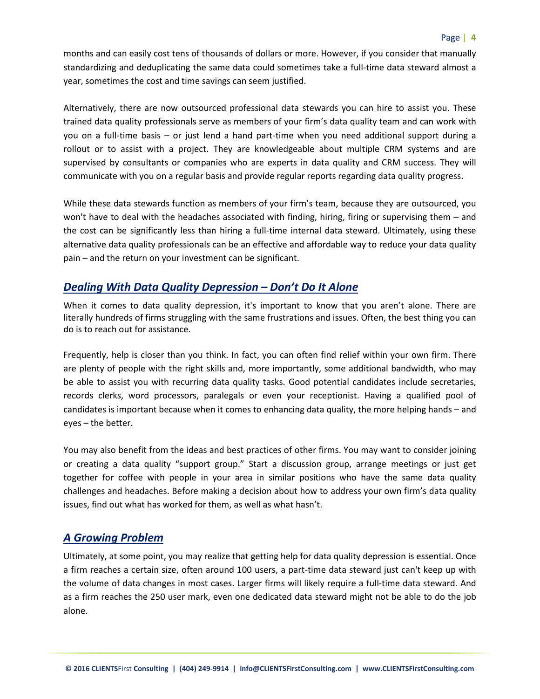months and can easily cost tens of thousands of dollars or more. However, if you consider that manually standardizing and deduplicating the same data could sometimes take a full-time data steward almost a year, sometimes the cost and time savings can seem justified.

Alternatively, there are now outsourced professional data stewards you can hire to assist you. These trained data quality professionals serve as members of your firm's data quality team and can work with you on a full-time basis – or just lend a hand part-time when you need additional support during a rollout or to assist with a project. They are knowledgeable about multiple CRM systems and are supervised by consultants or companies who are experts in data quality and CRM success. They will communicate with you on a regular basis and provide regular reports regarding data quality progress.

While these data stewards function as members of your firm's team, because they are outsourced, you won't have to deal with the headaches associated with finding, hiring, firing or supervising them – and the cost can be significantly less than hiring a full-time internal data steward. Ultimately, using these alternative data quality professionals can be an effective and affordable way to reduce your data quality pain – and the return on your investment can be significant.

#### *Dealing With Data Quality Depression – Don't Do It Alone*

When it comes to data quality depression, it's important to know that you aren't alone. There are literally hundreds of firms struggling with the same frustrations and issues. Often, the best thing you can do is to reach out for assistance.

Frequently, help is closer than you think. In fact, you can often find relief within your own firm. There are plenty of people with the right skills and, more importantly, some additional bandwidth, who may be able to assist you with recurring data quality tasks. Good potential candidates include secretaries, records clerks, word processors, paralegals or even your receptionist. Having a qualified pool of candidates is important because when it comes to enhancing data quality, the more helping hands – and eyes – the better.

You may also benefit from the ideas and best practices of other firms. You may want to consider joining or creating a data quality "support group." Start a discussion group, arrange meetings or just get together for coffee with people in your area in similar positions who have the same data quality challenges and headaches. Before making a decision about how to address your own firm's data quality issues, find out what has worked for them, as well as what hasn't.

# *A Growing Problem*

Ultimately, at some point, you may realize that getting help for data quality depression is essential. Once a firm reaches a certain size, often around 100 users, a part-time data steward just can't keep up with the volume of data changes in most cases. Larger firms will likely require a full-time data steward. And as a firm reaches the 250 user mark, even one dedicated data steward might not be able to do the job alone.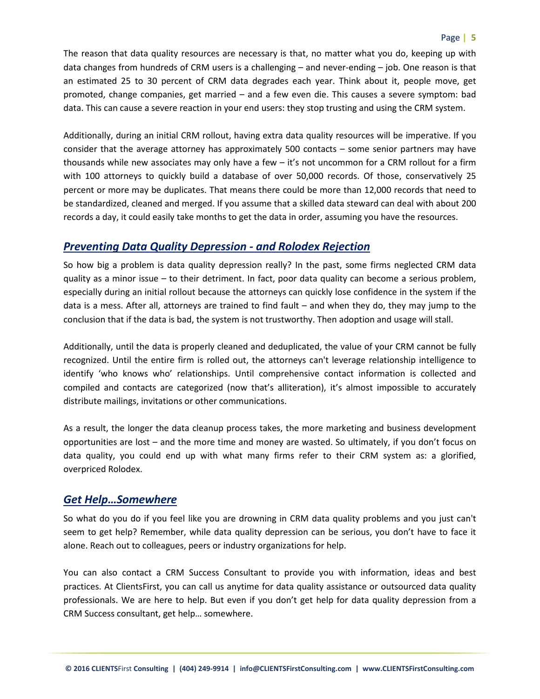#### Page **| 5**

The reason that data quality resources are necessary is that, no matter what you do, keeping up with data changes from hundreds of CRM users is a challenging – and never-ending – job. One reason is that an estimated 25 to 30 percent of CRM data degrades each year. Think about it, people move, get promoted, change companies, get married – and a few even die. This causes a severe symptom: bad data. This can cause a severe reaction in your end users: they stop trusting and using the CRM system.

Additionally, during an initial CRM rollout, having extra data quality resources will be imperative. If you consider that the average attorney has approximately 500 contacts – some senior partners may have thousands while new associates may only have a few – it's not uncommon for a CRM rollout for a firm with 100 attorneys to quickly build a database of over 50,000 records. Of those, conservatively 25 percent or more may be duplicates. That means there could be more than 12,000 records that need to be standardized, cleaned and merged. If you assume that a skilled data steward can deal with about 200 records a day, it could easily take months to get the data in order, assuming you have the resources.

#### *Preventing Data Quality Depression - and Rolodex Rejection*

So how big a problem is data quality depression really? In the past, some firms neglected CRM data quality as a minor issue – to their detriment. In fact, poor data quality can become a serious problem, especially during an initial rollout because the attorneys can quickly lose confidence in the system if the data is a mess. After all, attorneys are trained to find fault – and when they do, they may jump to the conclusion that if the data is bad, the system is not trustworthy. Then adoption and usage will stall.

Additionally, until the data is properly cleaned and deduplicated, the value of your CRM cannot be fully recognized. Until the entire firm is rolled out, the attorneys can't leverage relationship intelligence to identify 'who knows who' relationships. Until comprehensive contact information is collected and compiled and contacts are categorized (now that's alliteration), it's almost impossible to accurately distribute mailings, invitations or other communications.

As a result, the longer the data cleanup process takes, the more marketing and business development opportunities are lost – and the more time and money are wasted. So ultimately, if you don't focus on data quality, you could end up with what many firms refer to their CRM system as: a glorified, overpriced Rolodex.

#### *Get Help…Somewhere*

So what do you do if you feel like you are drowning in CRM data quality problems and you just can't seem to get help? Remember, while data quality depression can be serious, you don't have to face it alone. Reach out to colleagues, peers or industry organizations for help.

You can also contact a CRM Success Consultant to provide you with information, ideas and best practices. At ClientsFirst, you can call us anytime for data quality assistance or outsourced data quality professionals. We are here to help. But even if you don't get help for data quality depression from a CRM Success consultant, get help… somewhere.